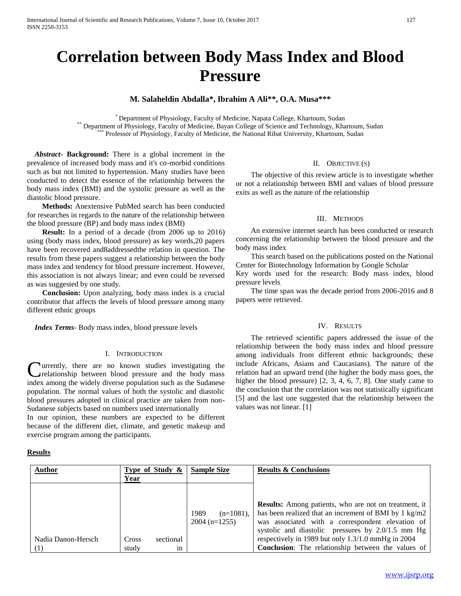# **Correlation between Body Mass Index and Blood Pressure**

# **M. Salaheldin Abdalla\*, Ibrahim A Ali\*\*, O.A. Musa\*\*\***

\* Department of Physiology, Faculty of Medicine, Napata College, Khartoum, Sudan \*\* Department of Physiology, Faculty of Medicine, Bayan College of Science and Technology, Khartoum, Sudan<br>\*\*\* Professor of Physiology, Faculty of Medicine, the National Pibet University, Khartoum, Sudan Professor of Physiology, Faculty of Medicine, the National Ribat University, Khartoum, Sudan

 *Abstract***- Background:** There is a global increment in the prevalence of increased body mass and it's co-morbid conditions such as but not limited to hypertension. Many studies have been conducted to detect the essence of the relationship between the body mass index (BMI) and the systolic pressure as well as the diastolic blood pressure.

 **Methods:** Anextensive PubMed search has been conducted for researches in regards to the nature of the relationship between the blood pressure (BP) and body mass index (BMI)

 **Result:** In a period of a decade (from 2006 up to 2016) using (body mass index, blood pressure) as key words,20 papers have been recovered and8addressedthe relation in question. The results from these papers suggest a relationship between the body mass index and tendency for blood pressure increment. However, this association is not always linear; and even could be reversed as was suggested by one study.

 **Conclusion:** Upon analyzing, body mass index is a crucial contributor that affects the levels of blood pressure among many different ethnic groups

 *Index Terms*- Body mass index, blood pressure levels

## I. INTRODUCTION

urrently, there are no known studies investigating the relationship between blood pressure and the body mass index among the widely diverse population such as the Sudanese population. The normal values of both the systolic and diastolic blood pressures adopted in clinical practice are taken from non-Sudanese subjects based on numbers used internationally C

In our opinion, these numbers are expected to be different because of the different diet, climate, and genetic makeup and exercise program among the participants.

#### **Results**

#### II. OBJECTIVE (S)

 The objective of this review article is to investigate whether or not a relationship between BMI and values of blood pressure exits as well as the nature of the relationship

#### III. METHODS

 An extensive internet search has been conducted or research concerning the relationship between the blood pressure and the body mass index

 This search based on the publications posted on the National Center for Biotechnology Information by Google Scholar

Key words used for the research: Body mass index, blood pressure levels.

 The time span was the decade period from 2006-2016 and 8 papers were retrieved.

#### IV. RESULTS

 The retrieved scientific papers addressed the issue of the relationship between the body mass index and blood pressure among individuals from different ethnic backgrounds; these include Africans, Asians and Caucasians). The nature of the relation had an upward trend (the higher the body mass goes, the higher the blood pressure) [2, 3, 4, 6, 7, 8]. One study came to the conclusion that the correlation was not statistically significant [5] and the last one suggested that the relationship between the values was not linear. [1]

| <b>Author</b>      | Type of Study & |           | <b>Sample Size</b> |              | <b>Results &amp; Conclusions</b>                             |
|--------------------|-----------------|-----------|--------------------|--------------|--------------------------------------------------------------|
|                    | Year            |           |                    |              |                                                              |
|                    |                 |           |                    |              |                                                              |
|                    |                 |           |                    |              |                                                              |
|                    |                 |           |                    |              | <b>Results:</b> Among patients, who are not on treatment, it |
|                    |                 |           | 1989               | $(n=1081)$ , | has been realized that an increment of BMI by 1 kg/m2        |
|                    |                 |           | $2004$ (n=1255)    |              | was associated with a correspondent elevation of             |
|                    |                 |           |                    |              | systolic and diastolic pressures by 2.0/1.5 mm Hg            |
| Nadia Danon-Hersch | <b>Cross</b>    | sectional |                    |              | respectively in 1989 but only 1.3/1.0 mmHg in 2004           |
| $\left(1\right)$   | study           | 1n        |                    |              | <b>Conclusion:</b> The relationship between the values of    |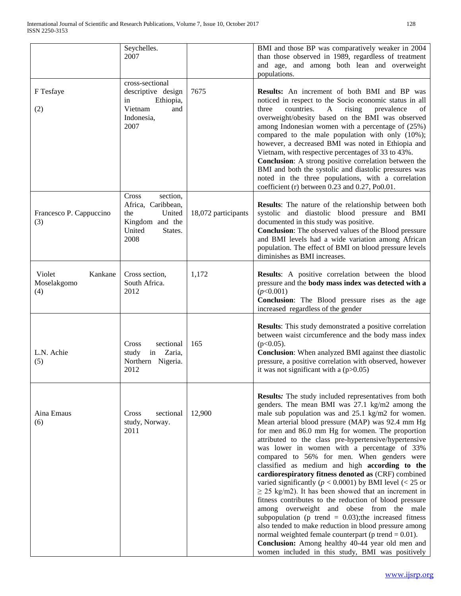|                                         | Seychelles.<br>2007                                                                                      |                     | BMI and those BP was comparatively weaker in 2004<br>than those observed in 1989, regardless of treatment<br>and age, and among both lean and overweight<br>populations.                                                                                                                                                                                                                                                                                                                                                                                                                                                                                                                                                                                                                                                                                                                                                                                                                                                                                              |
|-----------------------------------------|----------------------------------------------------------------------------------------------------------|---------------------|-----------------------------------------------------------------------------------------------------------------------------------------------------------------------------------------------------------------------------------------------------------------------------------------------------------------------------------------------------------------------------------------------------------------------------------------------------------------------------------------------------------------------------------------------------------------------------------------------------------------------------------------------------------------------------------------------------------------------------------------------------------------------------------------------------------------------------------------------------------------------------------------------------------------------------------------------------------------------------------------------------------------------------------------------------------------------|
| F Tesfaye                               | cross-sectional<br>descriptive design<br>Ethiopia,<br>in                                                 | 7675                | Results: An increment of both BMI and BP was<br>noticed in respect to the Socio economic status in all                                                                                                                                                                                                                                                                                                                                                                                                                                                                                                                                                                                                                                                                                                                                                                                                                                                                                                                                                                |
| (2)                                     | Vietnam<br>and<br>Indonesia,<br>2007                                                                     |                     | countries.<br>three<br>rising<br>A<br>prevalence<br>of<br>overweight/obesity based on the BMI was observed<br>among Indonesian women with a percentage of $(25%)$<br>compared to the male population with only $(10\%)$ ;<br>however, a decreased BMI was noted in Ethiopia and<br>Vietnam, with respective percentages of 33 to 43%.<br>Conclusion: A strong positive correlation between the<br>BMI and both the systolic and diastolic pressures was<br>noted in the three populations, with a correlation<br>coefficient (r) between 0.23 and 0.27, Po0.01.                                                                                                                                                                                                                                                                                                                                                                                                                                                                                                       |
| Francesco P. Cappuccino<br>(3)          | section,<br>Cross<br>Africa, Caribbean,<br>United<br>the<br>Kingdom and the<br>United<br>States.<br>2008 | 18,072 participants | Results: The nature of the relationship between both<br>systolic and diastolic blood pressure and BMI<br>documented in this study was positive.<br>Conclusion: The observed values of the Blood pressure<br>and BMI levels had a wide variation among African<br>population. The effect of BMI on blood pressure levels<br>diminishes as BMI increases.                                                                                                                                                                                                                                                                                                                                                                                                                                                                                                                                                                                                                                                                                                               |
| Violet<br>Kankane<br>Moselakgomo<br>(4) | Cross section,<br>South Africa.<br>2012                                                                  | 1,172               | <b>Results:</b> A positive correlation between the blood<br>pressure and the body mass index was detected with a<br>(p<0.001)<br>Conclusion: The Blood pressure rises as the age<br>increased regardless of the gender                                                                                                                                                                                                                                                                                                                                                                                                                                                                                                                                                                                                                                                                                                                                                                                                                                                |
| L.N. Achie<br>(5)                       | sectional<br>Cross<br>in<br>Zaria,<br>study<br>Northern Nigeria.<br>2012                                 | 165                 | <b>Results:</b> This study demonstrated a positive correlation<br>between waist circumference and the body mass index<br>$(p<0.05)$ .<br><b>Conclusion:</b> When analyzed BMI against thee diastolic<br>pressure, a positive correlation with observed, however<br>it was not significant with a $(p>0.05)$                                                                                                                                                                                                                                                                                                                                                                                                                                                                                                                                                                                                                                                                                                                                                           |
| Aina Emaus<br>(6)                       | sectional<br>Cross<br>study, Norway.<br>2011                                                             | 12,900              | <b>Results:</b> The study included representatives from both<br>genders. The mean BMI was 27.1 kg/m2 among the<br>male sub population was and 25.1 kg/m2 for women.<br>Mean arterial blood pressure (MAP) was 92.4 mm Hg<br>for men and 86.0 mm Hg for women. The proportion<br>attributed to the class pre-hypertensive/hypertensive<br>was lower in women with a percentage of 33%<br>compared to 56% for men. When genders were<br>classified as medium and high according to the<br>cardiorespiratory fitness denoted as (CRF) combined<br>varied significantly ( $p < 0.0001$ ) by BMI level (< 25 or<br>$\geq$ 25 kg/m2). It has been showed that an increment in<br>fitness contributes to the reduction of blood pressure<br>among overweight and obese from the male<br>subpopulation (p trend = $0.03$ ); the increased fitness<br>also tended to make reduction in blood pressure among<br>normal weighted female counterpart ( $p$ trend = 0.01).<br>Conclusion: Among healthy 40-44 year old men and<br>women included in this study, BMI was positively |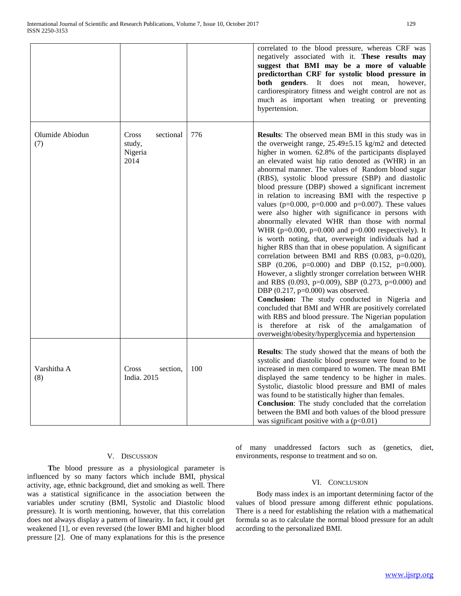|                        |                                                 |     | correlated to the blood pressure, whereas CRF was<br>negatively associated with it. These results may<br>suggest that BMI may be a more of valuable<br>predictorthan CRF for systolic blood pressure in<br><b>both</b> genders. It does not mean,<br>however,<br>cardiorespiratory fitness and weight control are not as<br>much as important when treating or preventing<br>hypertension.                                                                                                                                                                                                                                                                                                                                                                                                                                                                                                                                                                                                                                                                                                                                                                                                                                                                                                                                                                      |
|------------------------|-------------------------------------------------|-----|-----------------------------------------------------------------------------------------------------------------------------------------------------------------------------------------------------------------------------------------------------------------------------------------------------------------------------------------------------------------------------------------------------------------------------------------------------------------------------------------------------------------------------------------------------------------------------------------------------------------------------------------------------------------------------------------------------------------------------------------------------------------------------------------------------------------------------------------------------------------------------------------------------------------------------------------------------------------------------------------------------------------------------------------------------------------------------------------------------------------------------------------------------------------------------------------------------------------------------------------------------------------------------------------------------------------------------------------------------------------|
| Olumide Abiodun<br>(7) | Cross<br>sectional<br>study,<br>Nigeria<br>2014 | 776 | <b>Results:</b> The observed mean BMI in this study was in<br>the overweight range, $25.49 \pm 5.15$ kg/m2 and detected<br>higher in women. 62.8% of the participants displayed<br>an elevated waist hip ratio denoted as (WHR) in an<br>abnormal manner. The values of Random blood sugar<br>(RBS), systolic blood pressure (SBP) and diastolic<br>blood pressure (DBP) showed a significant increment<br>in relation to increasing BMI with the respective p<br>values ( $p=0.000$ , $p=0.000$ and $p=0.007$ ). These values<br>were also higher with significance in persons with<br>abnormally elevated WHR than those with normal<br>WHR ( $p=0.000$ , $p=0.000$ and $p=0.000$ respectively). It<br>is worth noting, that, overweight individuals had a<br>higher RBS than that in obese population. A significant<br>correlation between BMI and RBS (0.083, p=0.020),<br>SBP $(0.206, p=0.000)$ and DBP $(0.152, p=0.000)$ .<br>However, a slightly stronger correlation between WHR<br>and RBS (0.093, p=0.009), SBP (0.273, p=0.000) and<br>DBP $(0.217, p=0.000)$ was observed.<br>Conclusion: The study conducted in Nigeria and<br>concluded that BMI and WHR are positively correlated<br>with RBS and blood pressure. The Nigerian population<br>is therefore at risk of the amalgamation of<br>overweight/obesity/hyperglycemia and hypertension |
| Varshitha A<br>(8)     | Cross<br>section,<br>India. 2015                | 100 | Results: The study showed that the means of both the<br>systolic and diastolic blood pressure were found to be<br>increased in men compared to women. The mean BMI<br>displayed the same tendency to be higher in males.<br>Systolic, diastolic blood pressure and BMI of males<br>was found to be statistically higher than females.<br>Conclusion: The study concluded that the correlation<br>between the BMI and both values of the blood pressure<br>was significant positive with a $(p<0.01)$                                                                                                                                                                                                                                                                                                                                                                                                                                                                                                                                                                                                                                                                                                                                                                                                                                                            |

#### V. DISCUSSION

 **T**he blood pressure as a physiological parameter is influenced by so many factors which include BMI, physical activity, age, ethnic background, diet and smoking as well. There was a statistical significance in the association between the variables under scrutiny (BMI, Systolic and Diastolic blood pressure). It is worth mentioning, however, that this correlation does not always display a pattern of linearity. In fact, it could get weakened [1], or even reversed (the lower BMI and higher blood pressure [2]. One of many explanations for this is the presence

of many unaddressed factors such as (genetics, diet, environments, response to treatment and so on.

## VI. CONCLUSION

Body mass index is an important determining factor of the values of blood pressure among different ethnic populations. There is a need for establishing the relation with a mathematical formula so as to calculate the normal blood pressure for an adult according to the personalized BMI.